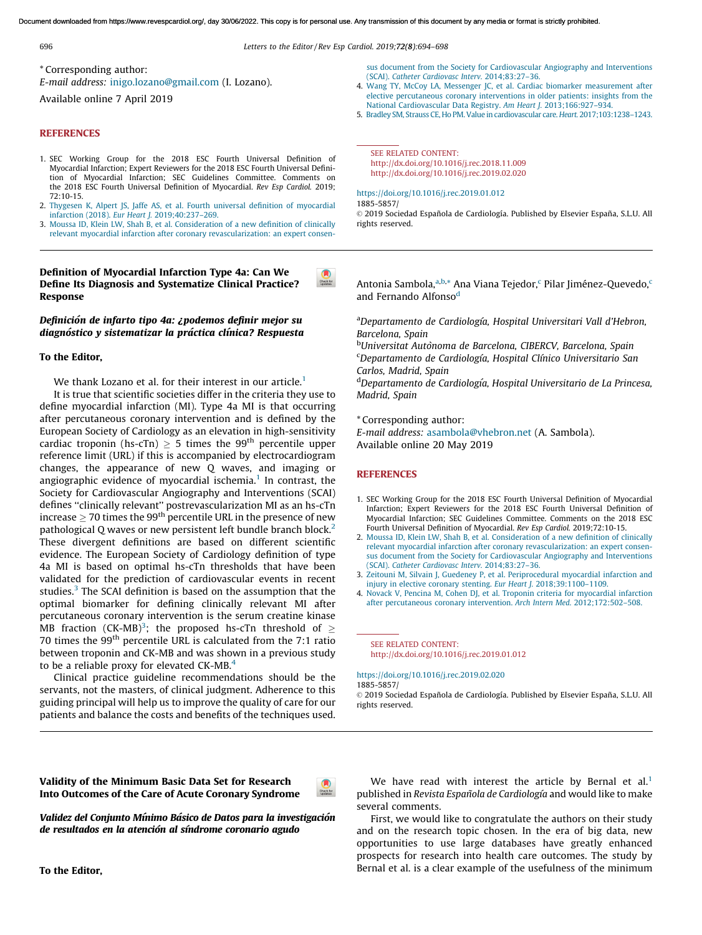<span id="page-0-0"></span>Document downloaded from https://www.revespcardiol.org/, day 30/06/2022. This copy is for personal use. Any transmission of this document by any media or format is strictly prohibited.

696 Letters to the Editor/ Rev Esp [Cardiol.](https://doi.org/10.1016/j.rec.2019.02.023) 2019;72(8):694–698

\* Corresponding author:

E-mail address: [inigo.lozano@gmail.com](mailto:inigo.lozano@gmail.com) (I. Lozano).

Available online 7 April 2019

#### **REFERENCES**

- 1. SEC Working Group for the 2018 ESC Fourth Universal Definition of Myocardial Infarction; Expert Reviewers for the 2018 ESC Fourth Universal Definition of Myocardial Infarction; SEC Guidelines Committee. Comments on the 2018 ESC Fourth Universal Definition of Myocardial. Rev Esp Cardiol. 2019; 72:10-15.
- 2. Thygesen K, Alpert JS, Jaffe AS, et al. Fourth universal definition of [myocardial](http://refhub.elsevier.com/S1885-5857(19)30077-5/sbref0035) infarction (2018). Eur Heart J. [2019;40:237–269](http://refhub.elsevier.com/S1885-5857(19)30077-5/sbref0035).
- 3. Moussa ID, Klein LW, Shah B, et al. [Consideration](http://refhub.elsevier.com/S1885-5857(19)30077-5/sbref0040) of a new definition of clinically relevant myocardial infarction after coronary [revascularization:](http://refhub.elsevier.com/S1885-5857(19)30077-5/sbref0040) an expert consen-

Definition of Myocardial Infarction Type 4a: Can We Define Its Diagnosis and Systematize Clinical Practice? Response

## Definición de infarto tipo 4a: ¿podemos definir mejor su diagnóstico y sistematizar la práctica clínica? Respuesta

#### To the Editor,

We thank Lozano et al. for their interest in our article.<sup>1</sup>

It is true that scientific societies differ in the criteria they use to define myocardial infarction (MI). Type 4a MI is that occurring after percutaneous coronary intervention and is defined by the European Society of Cardiology as an elevation in high-sensitivity cardiac troponin (hs-cTn)  $\geq$  5 times the 99<sup>th</sup> percentile upper reference limit (URL) if this is accompanied by electrocardiogra[m](http://crossmark.crossref.org/dialog/?doi=10.1016/j.rec.2019.02.023&domain=pdf) changes, the appearance of new Q waves, and imaging or angiographic evidence of myocardial ischemia. $1$  In contrast, the Society for Cardiovascular Angiography and Interventions (SCAI) defines ''clinically relevant'' postrevascularization MI as an hs-cTn increase  $\geq$  70 times the 99<sup>th</sup> percentile URL in the presence of new pathological Q waves or new persistent left bundle branch block.<sup>2</sup> These divergent definitions are based on different scientific evidence. The European Society of Cardiology definition of type 4a MI is based on optimal hs-cTn thresholds that have been validated for the prediction of cardiovascular events in recent studies.<sup>3</sup> The SCAI definition is based on the assumption that the optimal biomarker for defining clinically relevant MI after percutaneous coronary intervention is the serum creatine kinase MB fraction (CK-MB)<sup>3</sup>; the proposed hs-cTn threshold of  $\geq$ 70 times the  $99<sup>th</sup>$  percentile URL is calculated from the 7:1 ratio between troponin and CK-MB and was shown in a previous study to be a reliable proxy for elevated CK-MB.<sup>4</sup>

Clinical practice guideline recommendations should be the servants, not the masters, of clinical judgment. Adherence to this guiding principal will help us to improve the quality of care for our patients and balance the costs and benefits of the techniques [used.](http://crossmark.crossref.org/dialog/?doi=10.1016/j.rec.2019.02.023&domain=pdf)

(SCAI). Catheter Cardiovasc Interv. [2014;83:27–36](http://refhub.elsevier.com/S1885-5857(19)30077-5/sbref0040). 4. Wang TY, McCoy LA, Messenger JC, et al. Cardiac biomarker [measurement](http://refhub.elsevier.com/S1885-5857(19)30077-5/sbref0045) after

elective [percutaneous](http://refhub.elsevier.com/S1885-5857(19)30077-5/sbref0045) coronary interventions in older patients: insights from the National Cardiovascular Data Registry. Am Heart J. [2013;166:927–934.](http://refhub.elsevier.com/S1885-5857(19)30077-5/sbref0045)

sus document from the Society for [Cardiovascular](http://refhub.elsevier.com/S1885-5857(19)30077-5/sbref0040) Angiography and Interventions

5. Bradley SM, Strauss CE, Ho PM.Value in [cardiovascular](mailto:apcastellanos@icloud.com) care. Heart. [2017;103:1238–1243](http://refhub.elsevier.com/S1885-5857(19)30077-5/sbref0050).

SEE RELATED CONTENT: http://dx.doi.org/10.1016/j.rec.2018.11.009 http://dx.doi.org/10.1016/j.rec.2019.02.020

#### <https://doi.org/10.1016/j.rec.2019.01.012>

1885[-5857/](http://refhub.elsevier.com/S1885-5857(19)30150-1/sbref0030)

© 2019 Sociedad Española de Cardiología. Published by Elsevier España, S.L.U. All rights [reserved.](http://refhub.elsevier.com/S1885-5857(19)30150-1/sbref0035)

Antonia Sambola, a, b,\* Ana Viana Tejedor, c Pilar Jiménez-Quevedo, c and [Fernando](http://dx.doi.org/10.1016/j.carrev.2018.11.015) Alfonso<sup>d</sup>

<sup>a</sup>Departamento de Cardiología, Hospital Universitari Vall d'Hebron, Barcelona, Spain

<sup>b</sup>Universitat Autònoma de [Barcelona,](mailto:naumankhalid84@gmail.com) CIBERCV, Barcelona, Spain <sup>c</sup>Departamento de Cardiología, Hospital Clínico Universitario San Carlos, [Madrid,](https://doi.org/10.1016/j.rec.2019.02.023) Spain

<sup>d</sup>Departamento de Cardiología, Hospital Universitario de La Princesa, Madrid, Spain

\* [Corresponding](http://refhub.elsevier.com/S1885-5857(19)30151-3/sbref0030) author:

E-mail address: [asambola@vhebron.net](mailto:asambola@vhebron.net) (A. Sambola). Available online 20 May 2019

## **R[EFERENCES](http://refhub.elsevier.com/S1885-5857(19)30151-3/sbref0040)**

 $\bullet$ 

- 1. SEC Working Group for the 2018 ESC Fourth Universal Definition of [Myocardial](http://refhub.elsevier.com/S1885-5857(19)30151-3/sbref0045) [Infarction;](http://refhub.elsevier.com/S1885-5857(19)30151-3/sbref0045) Expert Reviewers for the 2018 ESC Fourth Universal Definition of [Myocardial](http://refhub.elsevier.com/S1885-5857(19)30151-3/sbref0045) Infarction; SEC Guidelines Committee. Comments on the 2018 ESC Fourth Universal Definition of Myocardial. Rev Esp Cardiol. [2019;72:10-15.](http://refhub.elsevier.com/S1885-5857(19)30151-3/sbref0050)
- 2. Moussa ID, Klein LW, Shah B, et al. [Consideration](http://refhub.elsevier.com/S1885-5857(19)30111-2/sbref0030) of a new definition of clinically relevant [myocardi](http://refhub.elsevier.com/S1885-5857(19)30151-3/sbref0050)al infarction after coronary [revascularization:](http://refhub.elsevier.com/S1885-5857(19)30111-2/sbref0030) an expert consensus document from the Society for [Cardiovascular](http://refhub.elsevier.com/S1885-5857(19)30111-2/sbref0030) Angiography and Interventions (SCAI). Catheter Cardiovasc Interv. [2014;83:27–36](http://refhub.elsevier.com/S1885-5857(19)30111-2/sbref0030).
- 3. Zeitouni M, Silvain J, Guedeney P, et al. [Periprocedural](http://refhub.elsevier.com/S1885-5857(19)30111-2/sbref0035) myocardial infarction and injury in elective coronary stenting. Eur Heart J. [2018;39:1100–1109.](http://refhub.elsevier.com/S1885-5857(19)30111-2/sbref0035)
- 4. Novack V, Pencina M, Cohen DJ, et al. Troponin criteria for [myocardial](http://refhub.elsevier.com/S1885-5857(19)30111-2/sbref0040) infarction after percutaneous coronary intervention. Arch Intern Med. [2012;172:502–508.](http://refhub.elsevier.com/S1885-5857(19)30111-2/sbref0040)

SEE RELATED CONTENT: http://dx.doi.org/10.1016/j.rec.2019.01.012

<https://doi.org/10.1016/j.rec.2019.02.020> 1885-5857/

© 2019 Sociedad Española de Cardiología. Published by Elsevier España, S.L.U. All rights reserved.

Validity of the Minimum Basic Data Set for Research Into Outcomes of the Care of Acute Coronary Syndrome

Validez del Conjunto Mínimo Básico de Datos para la investigación de resultados en la atención al síndrome coronario agudo

We have read with interest the article by Bernal et al.<sup>[1](#page-1-0)</sup> published in Revista Española de Cardiología and would like to make several comments.

First, we would like to congratulate the authors on their study and on the research topic chosen. In the era of big data, new opportunities to use large databases have greatly enhanced prospects for research into health care outcomes. The study by Bernal et al. is a clear example of the usefulness of the minimum